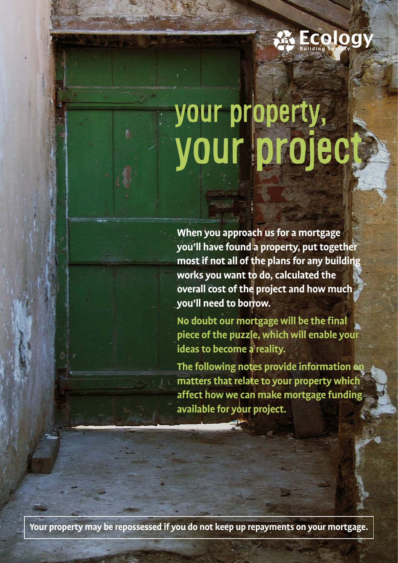

# your property, your project

**When you approach us for a mortgage you'll have found a property, put together most if not all of the plans for any building works you want to do, calculated the overall cost of the project and how much you'll need to borrow.** 

**No doubt our mortgage will be the final piece of the puzzle, which will enable your ideas to become a reality.**

**The following notes provide information on matters that relate to your property which affect how we can make mortgage funding available for your project.**

**Your property may be repossessed if you do not keep up repayments on your mortgage.**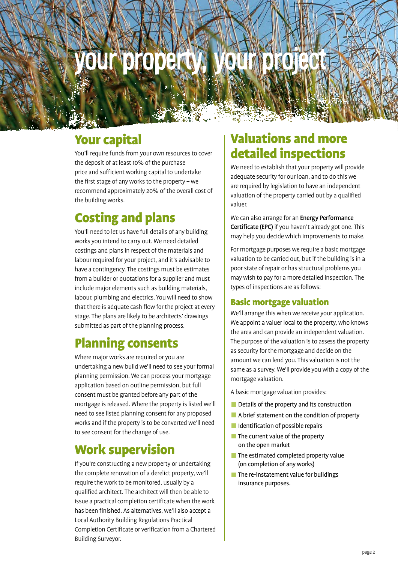# urvoropera

## Your capital

You'll require funds from your own resources to cover the deposit of at least 10% of the purchase price and sufficient working capital to undertake the first stage of any works to the property – we recommend approximately 20% of the overall cost of the building works.

## Costing and plans

You'll need to let us have full details of any building works you intend to carry out. We need detailed costings and plans in respect of the materials and labour required for your project, and it's advisable to have a contingency. The costings must be estimates from a builder or quotations for a supplier and must include major elements such as building materials, labour, plumbing and electrics. You will need to show that there is adquate cash flow for the project at every stage. The plans are likely to be architects' drawings submitted as part of the planning process.

## Planning consents

Where major works are required or you are undertaking a new build we'll need to see your formal planning permission. We can process your mortgage application based on outline permission, but full consent must be granted before any part of the mortgage is released. Where the property is listed we'll need to see listed planning consent for any proposed works and if the property is to be converted we'll need to see consent for the change of use.

## Work supervision

If you're constructing a new property or undertaking the complete renovation of a derelict property, we'll require the work to be monitored, usually by a qualified architect. The architect will then be able to issue a practical completion certificate when the work has been finished. As alternatives, we'll also accept a Local Authority Building Regulations Practical Completion Certificate or verification from a Chartered Building Surveyor.

## Valuations and more detailed inspections

We need to establish that your property will provide adequate security for our loan, and to do this we are required by legislation to have an independent valuation of the property carried out by a qualified valuer.

We can also arrange for an **Energy Performance** Certificate (EPC) if you haven't already got one. This may help you decide which improvements to make.

For mortgage purposes we require a basic mortgage valuation to be carried out, but if the building is in a poor state of repair or has structural problems you may wish to pay for a more detailed inspection. The types of inspections are as follows:

#### Basic mortgage valuation

We'll arrange this when we receive your application. We appoint a valuer local to the property, who knows the area and can provide an independent valuation. The purpose of the valuation is to assess the property as security for the mortgage and decide on the amount we can lend you. This valuation is not the same as a survey. We'll provide you with a copy of the mortgage valuation.

A basic mortgage valuation provides:

- Details of the property and its construction
- A brief statement on the condition of property
- $\blacksquare$  Identification of possible repairs
- $\blacksquare$  The current value of the property on the open market
- $\blacksquare$  The estimated completed property value (on completion of any works)
- $\blacksquare$  The re-instatement value for buildings insurance purposes.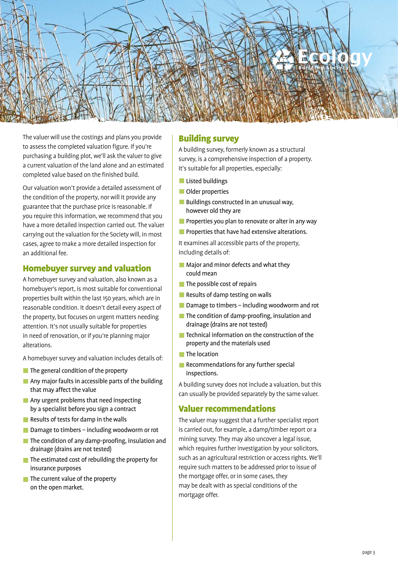

The valuer will use the costings and plans you provide to assess the completed valuation figure. If you're purchasing a building plot, we'll ask the valuer to give a current valuation of the land alone and an estimated completed value based on the finished build.

Our valuation won't provide a detailed assessment of the condition of the property, nor will it provide any guarantee that the purchase price is reasonable. If you require this information, we recommend that you have a more detailed inspection carried out. The valuer carrying out the valuation for the Society will, in most cases, agree to make a more detailed inspection for an additional fee.

#### Homebuyer survey and valuation

A homebuyer survey and valuation, also known as a homebuyer's report, is most suitable for conventional properties built within the last 150 years, which are in reasonable condition. It doesn't detail every aspect of the property, but focuses on urgent matters needing attention. It's not usually suitable for properties in need of renovation, or if you're planning major alterations.

A homebuyer survey and valuation includes details of:

- $\blacksquare$  The general condition of the property
- **Any major faults in accessible parts of the building** that may affect the value
- **Any urgent problems that need inspecting** by a specialist before you sign a contract
- Results of tests for damp in the walls
- Damage to timbers including woodworm or rot
- The condition of any damp-proofing, insulation and drainage (drains are not tested)
- $\blacksquare$  The estimated cost of rebuilding the property for insurance purposes
- $\blacksquare$  The current value of the property on the open market.

#### Building survey

A building survey, formerly known as a structural survey, is a comprehensive inspection of a property. It's suitable for all properties, especially:

- **Listed buildings**
- **Older properties**
- **Buildings constructed in an unusual way,** however old they are
- **Properties you plan to renovate or alter in any way**
- **Properties that have had extensive alterations.**

It examines all accessible parts of the property, including details of:

- **Major and minor defects and what they** could mean
- The possible cost of repairs
- Results of damp testing on walls
- Damage to timbers including woodworm and rot
- The condition of damp-proofing, insulation and drainage (drains are not tested)
- $\blacksquare$  Technical information on the construction of the property and the materials used
- $\blacksquare$  The location
- Recommendations for any further special inspections.

A building survey does not include a valuation, but this can usually be provided separately by the same valuer.

#### Valuer recommendations

The valuer may suggest that a further specialist report is carried out, for example, a damp/timber report or a mining survey. They may also uncover a legal issue, which requires further investigation by your solicitors, such as an agricultural restriction or access rights. We'll require such matters to be addressed prior to issue of the mortgage offer, or in some cases, they may be dealt with as special conditions of the mortgage offer.